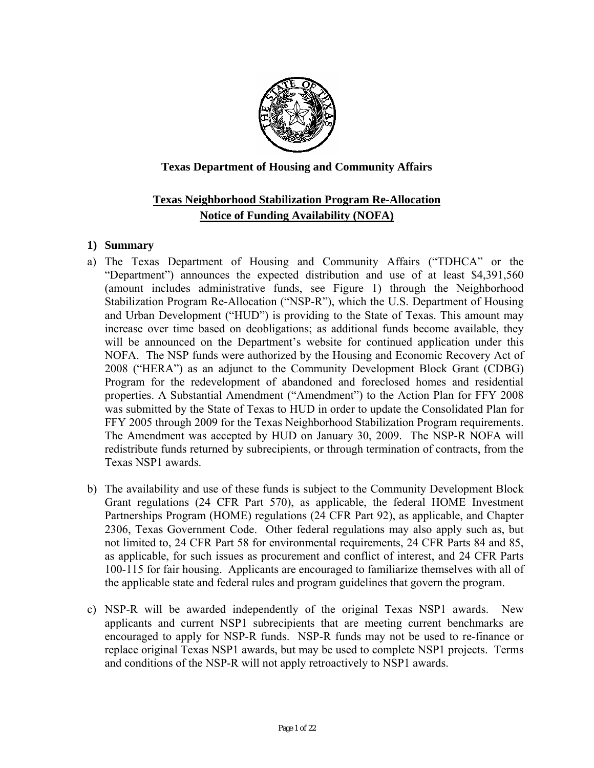

# **Texas Department of Housing and Community Affairs**

# **Texas Neighborhood Stabilization Program Re-Allocation Notice of Funding Availability (NOFA)**

### **1) Summary**

- a) The Texas Department of Housing and Community Affairs ("TDHCA" or the "Department") announces the expected distribution and use of at least \$4,391,560 (amount includes administrative funds, see Figure 1) through the Neighborhood Stabilization Program Re-Allocation ("NSP-R"), which the U.S. Department of Housing and Urban Development ("HUD") is providing to the State of Texas. This amount may increase over time based on deobligations; as additional funds become available, they will be announced on the Department's website for continued application under this NOFA. The NSP funds were authorized by the Housing and Economic Recovery Act of 2008 ("HERA") as an adjunct to the Community Development Block Grant (CDBG) Program for the redevelopment of abandoned and foreclosed homes and residential properties. A Substantial Amendment ("Amendment") to the Action Plan for FFY 2008 was submitted by the State of Texas to HUD in order to update the Consolidated Plan for FFY 2005 through 2009 for the Texas Neighborhood Stabilization Program requirements. The Amendment was accepted by HUD on January 30, 2009. The NSP-R NOFA will redistribute funds returned by subrecipients, or through termination of contracts, from the Texas NSP1 awards.
- b) The availability and use of these funds is subject to the Community Development Block Grant regulations (24 CFR Part 570), as applicable, the federal HOME Investment Partnerships Program (HOME) regulations (24 CFR Part 92), as applicable, and Chapter 2306, Texas Government Code. Other federal regulations may also apply such as, but not limited to, 24 CFR Part 58 for environmental requirements, 24 CFR Parts 84 and 85, as applicable, for such issues as procurement and conflict of interest, and 24 CFR Parts 100-115 for fair housing. Applicants are encouraged to familiarize themselves with all of the applicable state and federal rules and program guidelines that govern the program.
- c) NSP-R will be awarded independently of the original Texas NSP1 awards. New applicants and current NSP1 subrecipients that are meeting current benchmarks are encouraged to apply for NSP-R funds. NSP-R funds may not be used to re-finance or replace original Texas NSP1 awards, but may be used to complete NSP1 projects. Terms and conditions of the NSP-R will not apply retroactively to NSP1 awards.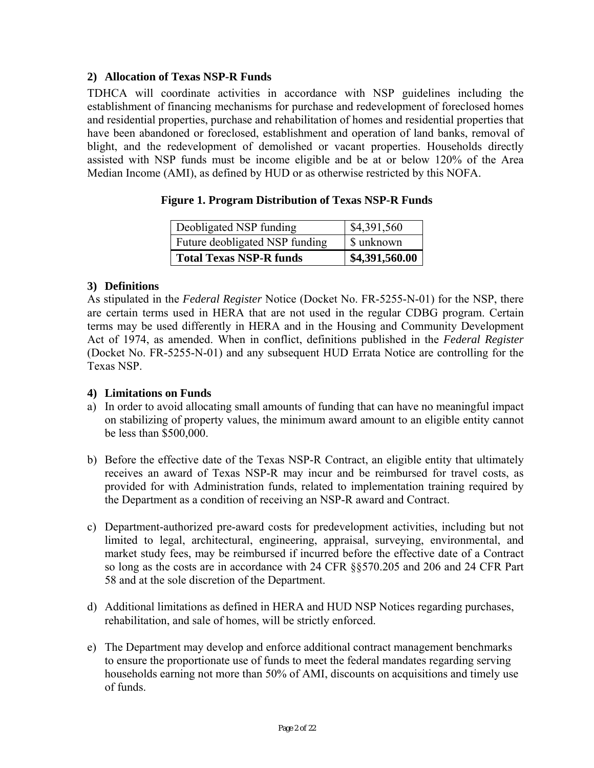# **2) Allocation of Texas NSP-R Funds**

TDHCA will coordinate activities in accordance with NSP guidelines including the establishment of financing mechanisms for purchase and redevelopment of foreclosed homes and residential properties, purchase and rehabilitation of homes and residential properties that have been abandoned or foreclosed, establishment and operation of land banks, removal of blight, and the redevelopment of demolished or vacant properties. Households directly assisted with NSP funds must be income eligible and be at or below 120% of the Area Median Income (AMI), as defined by HUD or as otherwise restricted by this NOFA.

| Deobligated NSP funding        | \$4,391,560    |
|--------------------------------|----------------|
| Future deobligated NSP funding | \$ unknown     |
| <b>Total Texas NSP-R funds</b> | \$4,391,560.00 |

### **Figure 1. Program Distribution of Texas NSP-R Funds**

### **3) Definitions**

As stipulated in the *Federal Register* Notice (Docket No. FR-5255-N-01) for the NSP, there are certain terms used in HERA that are not used in the regular CDBG program. Certain terms may be used differently in HERA and in the Housing and Community Development Act of 1974, as amended. When in conflict, definitions published in the *Federal Register*  (Docket No. FR-5255-N-01) and any subsequent HUD Errata Notice are controlling for the Texas NSP.

#### **4) Limitations on Funds**

- a) In order to avoid allocating small amounts of funding that can have no meaningful impact on stabilizing of property values, the minimum award amount to an eligible entity cannot be less than \$500,000.
- b) Before the effective date of the Texas NSP-R Contract, an eligible entity that ultimately receives an award of Texas NSP-R may incur and be reimbursed for travel costs, as provided for with Administration funds, related to implementation training required by the Department as a condition of receiving an NSP-R award and Contract.
- c) Department-authorized pre-award costs for predevelopment activities, including but not limited to legal, architectural, engineering, appraisal, surveying, environmental, and market study fees, may be reimbursed if incurred before the effective date of a Contract so long as the costs are in accordance with 24 CFR §§570.205 and 206 and 24 CFR Part 58 and at the sole discretion of the Department.
- d) Additional limitations as defined in HERA and HUD NSP Notices regarding purchases, rehabilitation, and sale of homes, will be strictly enforced.
- e) The Department may develop and enforce additional contract management benchmarks to ensure the proportionate use of funds to meet the federal mandates regarding serving households earning not more than 50% of AMI, discounts on acquisitions and timely use of funds.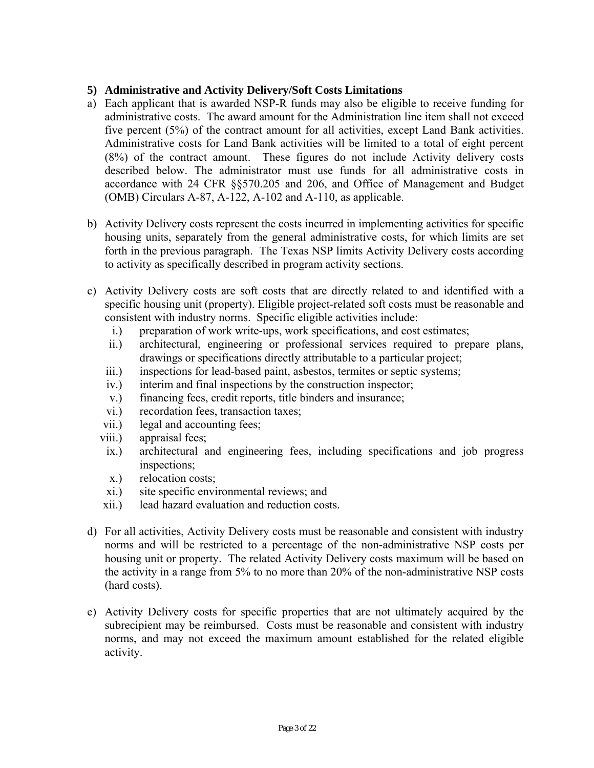# **5) Administrative and Activity Delivery/Soft Costs Limitations**

- a) Each applicant that is awarded NSP-R funds may also be eligible to receive funding for administrative costs. The award amount for the Administration line item shall not exceed five percent (5%) of the contract amount for all activities, except Land Bank activities. Administrative costs for Land Bank activities will be limited to a total of eight percent (8%) of the contract amount. These figures do not include Activity delivery costs described below. The administrator must use funds for all administrative costs in accordance with 24 CFR §§570.205 and 206, and Office of Management and Budget (OMB) Circulars A-87, A-122, A-102 and A-110, as applicable.
- b) Activity Delivery costs represent the costs incurred in implementing activities for specific housing units, separately from the general administrative costs, for which limits are set forth in the previous paragraph. The Texas NSP limits Activity Delivery costs according to activity as specifically described in program activity sections.
- c) Activity Delivery costs are soft costs that are directly related to and identified with a specific housing unit (property). Eligible project-related soft costs must be reasonable and consistent with industry norms. Specific eligible activities include:
	- i.) preparation of work write-ups, work specifications, and cost estimates;
	- ii.) architectural, engineering or professional services required to prepare plans, drawings or specifications directly attributable to a particular project;
	- iii.) inspections for lead-based paint, asbestos, termites or septic systems;
	- iv.) interim and final inspections by the construction inspector;
	- v.) financing fees, credit reports, title binders and insurance;
	- vi.) recordation fees, transaction taxes;
	- vii.) legal and accounting fees;
	- viii.) appraisal fees;
	- ix.) architectural and engineering fees, including specifications and job progress inspections;
	- x.) relocation costs;
	- xi.) site specific environmental reviews; and
	- xii.) lead hazard evaluation and reduction costs.
- (hard costs). d) For all activities, Activity Delivery costs must be reasonable and consistent with industry norms and will be restricted to a percentage of the non-administrative NSP costs per housing unit or property. The related Activity Delivery costs maximum will be based on the activity in a range from 5% to no more than 20% of the non-administrative NSP costs
- e) Activity Delivery costs for specific properties that are not ultimately acquired by the subrecipient may be reimbursed. Costs must be reasonable and consistent with industry norms, and may not exceed the maximum amount established for the related eligible activity.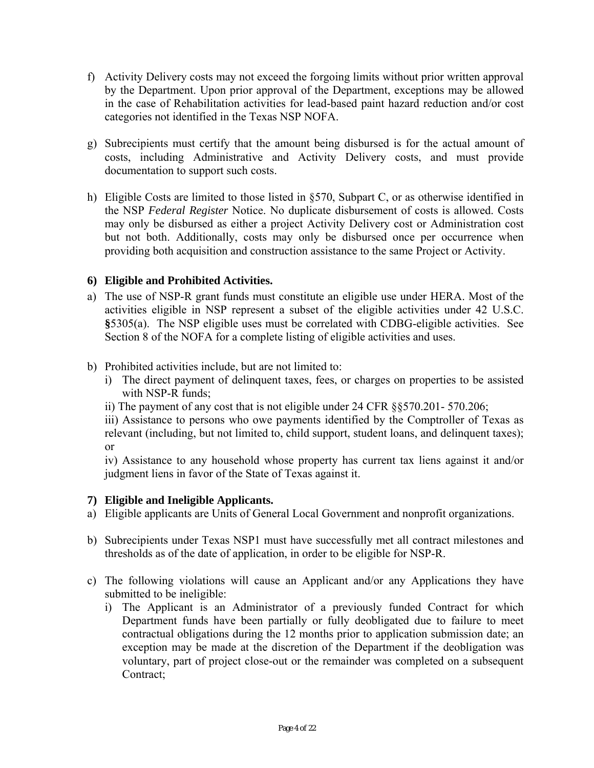- f) Activity Delivery costs may not exceed the forgoing limits without prior written approval by the Department. Upon prior approval of the Department, exceptions may be allowed in the case of Rehabilitation activities for lead-based paint hazard reduction and/or cost categories not identified in the Texas NSP NOFA.
- g) Subrecipients must certify that the amount being disbursed is for the actual amount of costs, including Administrative and Activity Delivery costs, and must provide documentation to support such costs.
- h) Eligible Costs are limited to those listed in §570, Subpart C, or as otherwise identified in the NSP *Federal Register* Notice. No duplicate disbursement of costs is allowed. Costs may only be disbursed as either a project Activity Delivery cost or Administration cost but not both. Additionally, costs may only be disbursed once per occurrence when providing both acquisition and construction assistance to the same Project or Activity.

# **6) Eligible and Prohibited Activities.**

- a) The use of NSP-R grant funds must constitute an eligible use under HERA. Most of the activities eligible in NSP represent a subset of the eligible activities under 42 U.S.C. **§**5305(a). The NSP eligible uses must be correlated with CDBG-eligible activities. See Section 8 of the NOFA for a complete listing of eligible activities and uses.
- b) Prohibited activities include, but are not limited to:
	- i) The direct payment of delinquent taxes, fees, or charges on properties to be assisted with NSP-R funds;
	- ii) The payment of any cost that is not eligible under 24 CFR §§570.201- 570.206;

iii) Assistance to persons who owe payments identified by the Comptroller of Texas as relevant (including, but not limited to, child support, student loans, and delinquent taxes); or

iv) Assistance to any household whose property has current tax liens against it and/or judgment liens in favor of the State of Texas against it.

# **7) Eligible and Ineligible Applicants.**

- a) Eligible applicants are Units of General Local Government and nonprofit organizations.
- b) Subrecipients under Texas NSP1 must have successfully met all contract milestones and thresholds as of the date of application, in order to be eligible for NSP-R.
- c) The following violations will cause an Applicant and/or any Applications they have submitted to be ineligible:
	- i) The Applicant is an Administrator of a previously funded Contract for which Department funds have been partially or fully deobligated due to failure to meet contractual obligations during the 12 months prior to application submission date; an exception may be made at the discretion of the Department if the deobligation was voluntary, part of project close-out or the remainder was completed on a subsequent Contract;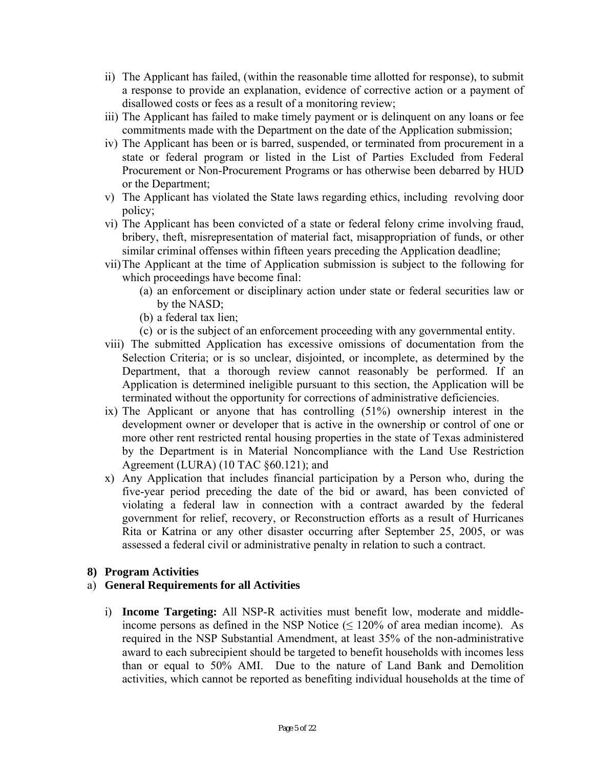- ii) The Applicant has failed, (within the reasonable time allotted for response), to submit a response to provide an explanation, evidence of corrective action or a payment of disallowed costs or fees as a result of a monitoring review;
- iii) The Applicant has failed to make timely payment or is delinquent on any loans or fee commitments made with the Department on the date of the Application submission;
- iv) The Applicant has been or is barred, suspended, or terminated from procurement in a state or federal program or listed in the List of Parties Excluded from Federal Procurement or Non-Procurement Programs or has otherwise been debarred by HUD or the Department;
- v) The Applicant has violated the State laws regarding ethics, including revolving door policy;
- vi) The Applicant has been convicted of a state or federal felony crime involving fraud, bribery, theft, misrepresentation of material fact, misappropriation of funds, or other similar criminal offenses within fifteen years preceding the Application deadline;
- vii)The Applicant at the time of Application submission is subject to the following for which proceedings have become final:
	- (a) an enforcement or disciplinary action under state or federal securities law or by the NASD;
	- (b) a federal tax lien;
	- (c) or is the subject of an enforcement proceeding with any governmental entity.
- viii) The submitted Application has excessive omissions of documentation from the Selection Criteria; or is so unclear, disjointed, or incomplete, as determined by the Department, that a thorough review cannot reasonably be performed. If an Application is determined ineligible pursuant to this section, the Application will be terminated without the opportunity for corrections of administrative deficiencies.
- ix) The Applicant or anyone that has controlling (51%) ownership interest in the development owner or developer that is active in the ownership or control of one or more other rent restricted rental housing properties in the state of Texas administered by the Department is in Material Noncompliance with the Land Use Restriction Agreement (LURA) (10 TAC §60.121); and
- x) Any Application that includes financial participation by a Person who, during the five-year period preceding the date of the bid or award, has been convicted of violating a federal law in connection with a contract awarded by the federal government for relief, recovery, or Reconstruction efforts as a result of Hurricanes Rita or Katrina or any other disaster occurring after September 25, 2005, or was assessed a federal civil or administrative penalty in relation to such a contract.

# **8) Program Activities**

#### a) **General Requirements for all Activities**

i) **Income Targeting:** All NSP-R activities must benefit low, moderate and middleincome persons as defined in the NSP Notice  $( \leq 120\%$  of area median income). As required in the NSP Substantial Amendment, at least 35% of the non-administrative award to each subrecipient should be targeted to benefit households with incomes less than or equal to 50% AMI. Due to the nature of Land Bank and Demolition activities, which cannot be reported as benefiting individual households at the time of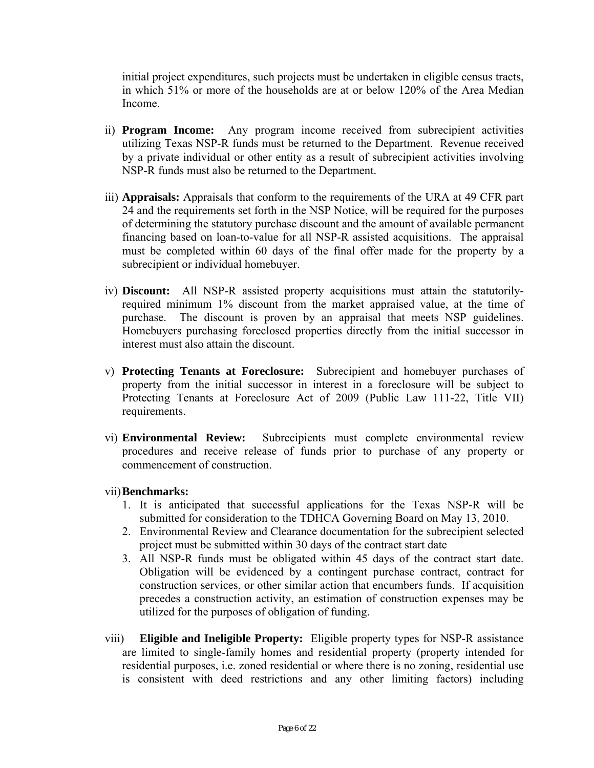initial project expenditures, such projects must be undertaken in eligible census tracts, in which 51% or more of the households are at or below 120% of the Area Median Income.

- ii) **Program Income:** Any program income received from subrecipient activities utilizing Texas NSP-R funds must be returned to the Department. Revenue received by a private individual or other entity as a result of subrecipient activities involving NSP-R funds must also be returned to the Department.
- iii) **Appraisals:** Appraisals that conform to the requirements of the URA at 49 CFR part 24 and the requirements set forth in the NSP Notice, will be required for the purposes of determining the statutory purchase discount and the amount of available permanent financing based on loan-to-value for all NSP-R assisted acquisitions. The appraisal must be completed within 60 days of the final offer made for the property by a subrecipient or individual homebuyer.
- iv) **Discount:** All NSP-R assisted property acquisitions must attain the statutorilyrequired minimum 1% discount from the market appraised value, at the time of purchase. The discount is proven by an appraisal that meets NSP guidelines. Homebuyers purchasing foreclosed properties directly from the initial successor in interest must also attain the discount.
- v) **Protecting Tenants at Foreclosure:** Subrecipient and homebuyer purchases of property from the initial successor in interest in a foreclosure will be subject to Protecting Tenants at Foreclosure Act of 2009 (Public Law 111-22, Title VII) requirements.
- vi) **Environmental Review:** Subrecipients must complete environmental review procedures and receive release of funds prior to purchase of any property or commencement of construction.
- vii)**Benchmarks:** 
	- 1. It is anticipated that successful applications for the Texas NSP-R will be submitted for consideration to the TDHCA Governing Board on May 13, 2010.
	- 2. Environmental Review and Clearance documentation for the subrecipient selected project must be submitted within 30 days of the contract start date
	- 3. All NSP-R funds must be obligated within 45 days of the contract start date. Obligation will be evidenced by a contingent purchase contract, contract for construction services, or other similar action that encumbers funds. If acquisition precedes a construction activity, an estimation of construction expenses may be utilized for the purposes of obligation of funding.
- viii) **Eligible and Ineligible Property:** Eligible property types for NSP-R assistance are limited to single-family homes and residential property (property intended for residential purposes, i.e. zoned residential or where there is no zoning, residential use is consistent with deed restrictions and any other limiting factors) including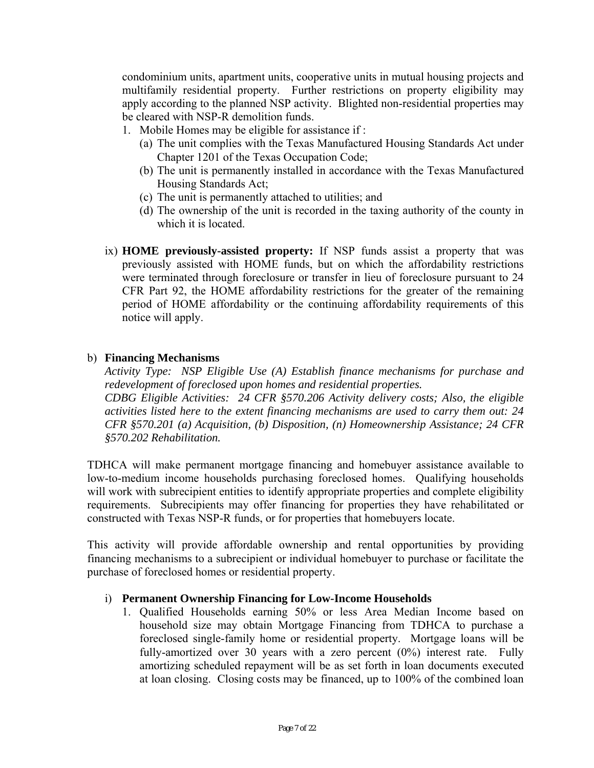condominium units, apartment units, cooperative units in mutual housing projects and multifamily residential property. Further restrictions on property eligibility may apply according to the planned NSP activity. Blighted non-residential properties may be cleared with NSP-R demolition funds.

- 1. Mobile Homes may be eligible for assistance if :
	- (a) The unit complies with the Texas Manufactured Housing Standards Act under Chapter 1201 of the Texas Occupation Code;
	- (b) The unit is permanently installed in accordance with the Texas Manufactured Housing Standards Act;
	- (c) The unit is permanently attached to utilities; and
	- (d) The ownership of the unit is recorded in the taxing authority of the county in which it is located.
- ix) **HOME previously-assisted property:** If NSP funds assist a property that was previously assisted with HOME funds, but on which the affordability restrictions were terminated through foreclosure or transfer in lieu of foreclosure pursuant to 24 CFR Part 92, the HOME affordability restrictions for the greater of the remaining period of HOME affordability or the continuing affordability requirements of this notice will apply.

### b) **Financing Mechanisms**

*Activity Type: NSP Eligible Use (A) Establish finance mechanisms for purchase and redevelopment of foreclosed upon homes and residential properties. CDBG Eligible Activities: 24 CFR §570.206 Activity delivery costs; Also, the eligible activities listed here to the extent financing mechanisms are used to carry them out: 24 CFR §570.201 (a) Acquisition, (b) Disposition, (n) Homeownership Assistance; 24 CFR §570.202 Rehabilitation.* 

TDHCA will make permanent mortgage financing and homebuyer assistance available to low-to-medium income households purchasing foreclosed homes. Qualifying households will work with subrecipient entities to identify appropriate properties and complete eligibility requirements. Subrecipients may offer financing for properties they have rehabilitated or constructed with Texas NSP-R funds, or for properties that homebuyers locate.

This activity will provide affordable ownership and rental opportunities by providing financing mechanisms to a subrecipient or individual homebuyer to purchase or facilitate the purchase of foreclosed homes or residential property.

# i) **Permanent Ownership Financing for Low-Income Households**

1. Qualified Households earning 50% or less Area Median Income based on household size may obtain Mortgage Financing from TDHCA to purchase a foreclosed single-family home or residential property. Mortgage loans will be fully-amortized over 30 years with a zero percent (0%) interest rate. Fully amortizing scheduled repayment will be as set forth in loan documents executed at loan closing. Closing costs may be financed, up to 100% of the combined loan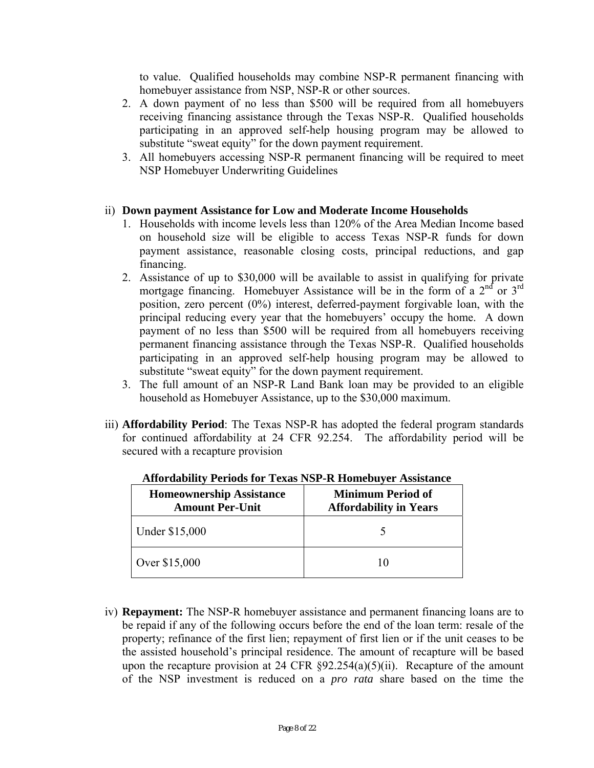to value. Qualified households may combine NSP-R permanent financing with homebuyer assistance from NSP, NSP-R or other sources.

- 2. A down payment of no less than \$500 will be required from all homebuyers receiving financing assistance through the Texas NSP-R. Qualified households participating in an approved self-help housing program may be allowed to substitute "sweat equity" for the down payment requirement.
- 3. All homebuyers accessing NSP-R permanent financing will be required to meet NSP Homebuyer Underwriting Guidelines

### ii) **Down payment Assistance for Low and Moderate Income Households**

- 1. Households with income levels less than 120% of the Area Median Income based on household size will be eligible to access Texas NSP-R funds for down payment assistance, reasonable closing costs, principal reductions, and gap financing.
- 2. Assistance of up to \$30,000 will be available to assist in qualifying for private mortgage financing. Homebuyer Assistance will be in the form of a  $2<sup>nd</sup>$  or  $3<sup>rd</sup>$ position, zero percent (0%) interest, deferred-payment forgivable loan, with the principal reducing every year that the homebuyers' occupy the home. A down payment of no less than \$500 will be required from all homebuyers receiving permanent financing assistance through the Texas NSP-R. Qualified households participating in an approved self-help housing program may be allowed to substitute "sweat equity" for the down payment requirement.
- household as Homebuyer Assistance, up to the \$30,000 maximum. 3. The full amount of an NSP-R Land Bank loan may be provided to an eligible
- iii) **Affordability Period**: The Texas NSP-R has adopted the federal program standards for continued affordability at 24 CFR 92.254. The affordability period will be secured with a recapture provision

| <b>Homeownership Assistance</b><br><b>Amount Per-Unit</b> | <b>Minimum Period of</b><br><b>Affordability in Years</b> |
|-----------------------------------------------------------|-----------------------------------------------------------|
| Under \$15,000                                            |                                                           |
| Over \$15,000                                             |                                                           |

**Affordability Periods for Texas NSP-R Homebuyer Assistance** 

iv) **Repayment:** The NSP-R homebuyer assistance and permanent financing loans are to be repaid if any of the following occurs before the end of the loan term: resale of the property; refinance of the first lien; repayment of first lien or if the unit ceases to be the assisted household's principal residence. The amount of recapture will be based upon the recapture provision at 24 CFR  $\S 92.254(a)(5)(ii)$ . Recapture of the amount of the NSP investment is reduced on a *pro rata* share based on the time the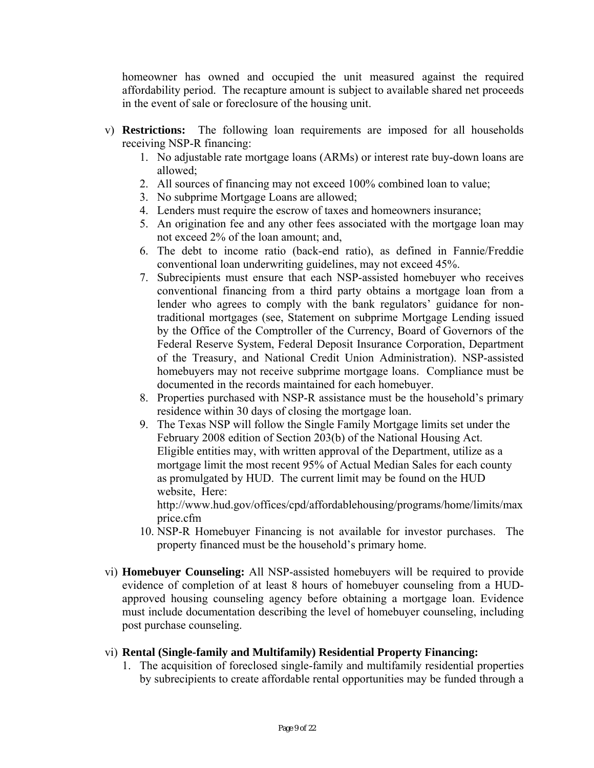homeowner has owned and occupied the unit measured against the required affordability period. The recapture amount is subject to available shared net proceeds in the event of sale or foreclosure of the housing unit.

- v) **Restrictions:** The following loan requirements are imposed for all households receiving NSP-R financing:
	- 1. No adjustable rate mortgage loans (ARMs) or interest rate buy-down loans are allowed;
	- 2. All sources of financing may not exceed 100% combined loan to value;
	- 3. No subprime Mortgage Loans are allowed;
	- 4. Lenders must require the escrow of taxes and homeowners insurance;
	- 5. An origination fee and any other fees associated with the mortgage loan may not exceed 2% of the loan amount; and,
	- 6. The debt to income ratio (back-end ratio), as defined in Fannie/Freddie conventional loan underwriting guidelines, may not exceed 45%.
	- 7. Subrecipients must ensure that each NSP-assisted homebuyer who receives conventional financing from a third party obtains a mortgage loan from a lender who agrees to comply with the bank regulators' guidance for nontraditional mortgages (see, Statement on subprime Mortgage Lending issued by the Office of the Comptroller of the Currency, Board of Governors of the Federal Reserve System, Federal Deposit Insurance Corporation, Department of the Treasury, and National Credit Union Administration). NSP-assisted homebuyers may not receive subprime mortgage loans. Compliance must be documented in the records maintained for each homebuyer.
	- 8. Properties purchased with NSP-R assistance must be the household's primary residence within 30 days of closing the mortgage loan.
	- 9. The Texas NSP will follow the Single Family Mortgage limits set under the February 2008 edition of Section 203(b) of the National Housing Act. Eligible entities may, with written approval of the Department, utilize as a mortgage limit the most recent 95% of Actual Median Sales for each county as promulgated by HUD. The current limit may be found on the HUD website, Here:

http://www.hud.gov/offices/cpd/affordablehousing/programs/home/limits/max price.cfm

- 10. NSP-R Homebuyer Financing is not available for investor purchases. The property financed must be the household's primary home.
- vi) **Homebuyer Counseling:** All NSP-assisted homebuyers will be required to provide evidence of completion of at least 8 hours of homebuyer counseling from a HUDapproved housing counseling agency before obtaining a mortgage loan. Evidence must include documentation describing the level of homebuyer counseling, including post purchase counseling.

# vi) **Rental (Single-family and Multifamily) Residential Property Financing:**

1. The acquisition of foreclosed single-family and multifamily residential properties by subrecipients to create affordable rental opportunities may be funded through a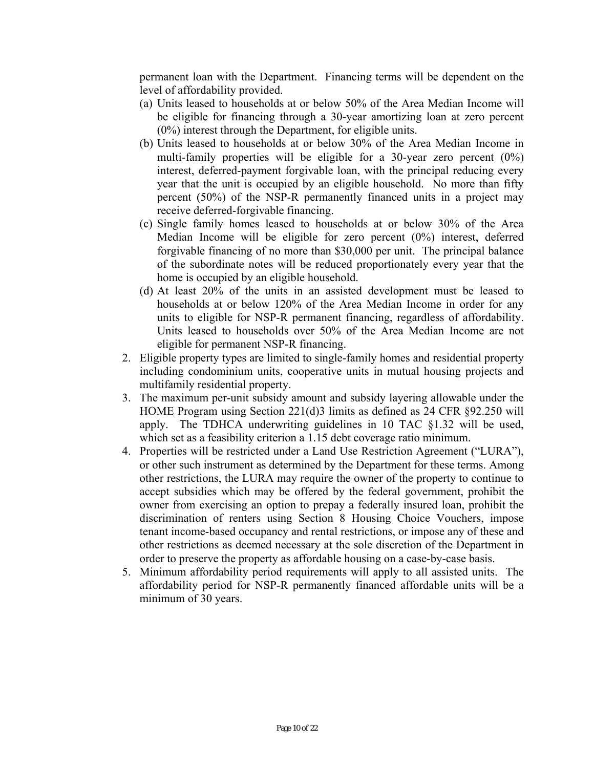permanent loan with the Department. Financing terms will be dependent on the level of affordability provided.

- (a) Units leased to households at or below 50% of the Area Median Income will be eligible for financing through a 30-year amortizing loan at zero percent (0%) interest through the Department, for eligible units.
- (b) Units leased to households at or below 30% of the Area Median Income in multi-family properties will be eligible for a 30-year zero percent (0%) interest, deferred-payment forgivable loan, with the principal reducing every year that the unit is occupied by an eligible household. No more than fifty percent (50%) of the NSP-R permanently financed units in a project may receive deferred-forgivable financing.
- (c) Single family homes leased to households at or below 30% of the Area Median Income will be eligible for zero percent (0%) interest, deferred forgivable financing of no more than \$30,000 per unit. The principal balance of the subordinate notes will be reduced proportionately every year that the home is occupied by an eligible household.
- (d) At least 20% of the units in an assisted development must be leased to households at or below 120% of the Area Median Income in order for any units to eligible for NSP-R permanent financing, regardless of affordability. Units leased to households over 50% of the Area Median Income are not eligible for permanent NSP-R financing.
- 2. Eligible property types are limited to single-family homes and residential property including condominium units, cooperative units in mutual housing projects and multifamily residential property.
- 3. The maximum per-unit subsidy amount and subsidy layering allowable under the HOME Program using Section 221(d)3 limits as defined as 24 CFR §92.250 will apply. The TDHCA underwriting guidelines in 10 TAC §1.32 will be used, which set as a feasibility criterion a 1.15 debt coverage ratio minimum.
- 4. Properties will be restricted under a Land Use Restriction Agreement ("LURA"), or other such instrument as determined by the Department for these terms. Among other restrictions, the LURA may require the owner of the property to continue to accept subsidies which may be offered by the federal government, prohibit the owner from exercising an option to prepay a federally insured loan, prohibit the discrimination of renters using Section 8 Housing Choice Vouchers, impose tenant income-based occupancy and rental restrictions, or impose any of these and other restrictions as deemed necessary at the sole discretion of the Department in order to preserve the property as affordable housing on a case-by-case basis.
- 5. Minimum affordability period requirements will apply to all assisted units. The affordability period for NSP-R permanently financed affordable units will be a minimum of 30 years.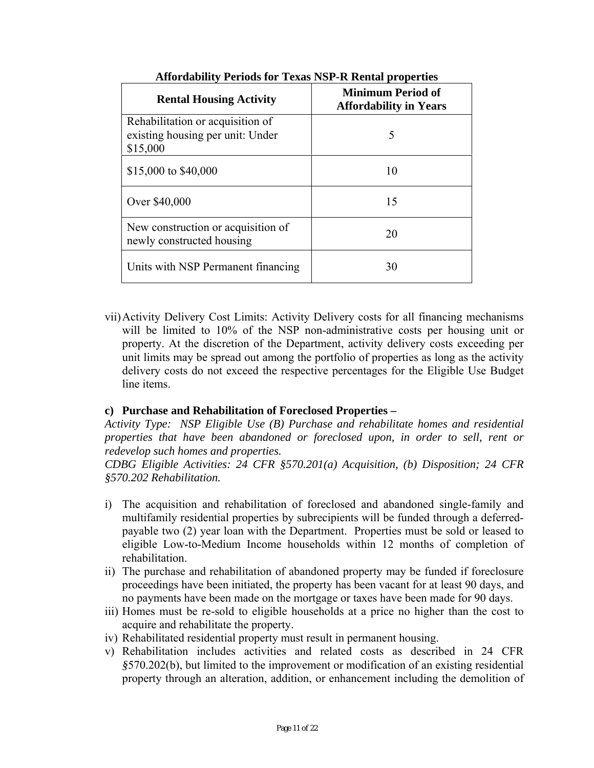| <b>Rental Housing Activity</b>                                                   | Minimum Period of<br><b>Affordability in Years</b> |
|----------------------------------------------------------------------------------|----------------------------------------------------|
| Rehabilitation or acquisition of<br>existing housing per unit: Under<br>\$15,000 | 5                                                  |
| \$15,000 to \$40,000                                                             | 10                                                 |
| Over \$40,000                                                                    | 15                                                 |
| New construction or acquisition of<br>newly constructed housing                  | 20                                                 |
| Units with NSP Permanent financing                                               | 30                                                 |

**Affordability Periods for Texas NSP-R Rental properties** 

vii)Activity Delivery Cost Limits: Activity Delivery costs for all financing mechanisms will be limited to 10% of the NSP non-administrative costs per housing unit or property. At the discretion of the Department, activity delivery costs exceeding per unit limits may be spread out among the portfolio of properties as long as the activity delivery costs do not exceed the respective percentages for the Eligible Use Budget line items.

# **c) Purchase and Rehabilitation of Foreclosed Properties –**

*Activity Type: NSP Eligible Use (B) Purchase and rehabilitate homes and residential properties that have been abandoned or foreclosed upon, in order to sell, rent or redevelop such homes and properties.* 

*CDBG Eligible Activities: 24 CFR §570.201(a) Acquisition, (b) Disposition; 24 CFR §570.202 Rehabilitation.* 

- i) The acquisition and rehabilitation of foreclosed and abandoned single-family and multifamily residential properties by subrecipients will be funded through a deferredpayable two (2) year loan with the Department. Properties must be sold or leased to eligible Low-to-Medium Income households within 12 months of completion of rehabilitation.
- ii) The purchase and rehabilitation of abandoned property may be funded if foreclosure proceedings have been initiated, the property has been vacant for at least 90 days, and no payments have been made on the mortgage or taxes have been made for 90 days.
- iii) Homes must be re-sold to eligible households at a price no higher than the cost to acquire and rehabilitate the property.
- iv) Rehabilitated residential property must result in permanent housing.
- v) Rehabilitation includes activities and related costs as described in 24 CFR *§*570.202(b), but limited to the improvement or modification of an existing residential property through an alteration, addition, or enhancement including the demolition of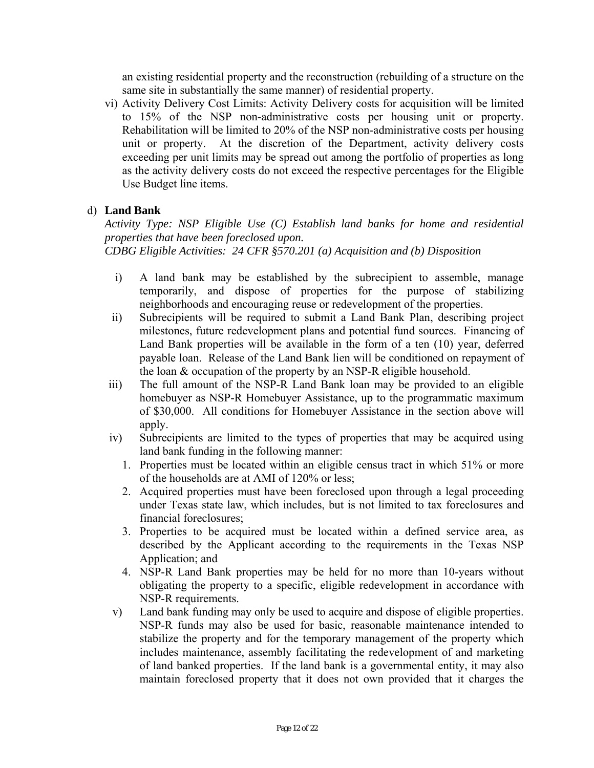an existing residential property and the reconstruction (rebuilding of a structure on the same site in substantially the same manner) of residential property.

vi) Activity Delivery Cost Limits: Activity Delivery costs for acquisition will be limited to 15% of the NSP non-administrative costs per housing unit or property. Rehabilitation will be limited to 20% of the NSP non-administrative costs per housing unit or property. At the discretion of the Department, activity delivery costs exceeding per unit limits may be spread out among the portfolio of properties as long as the activity delivery costs do not exceed the respective percentages for the Eligible Use Budget line items.

# d) **Land Bank**

*Activity Type: NSP Eligible Use (C) Establish land banks for home and residential properties that have been foreclosed upon. CDBG Eligible Activities: 24 CFR §570.201 (a) Acquisition and (b) Disposition* 

- i) A land bank may be established by the subrecipient to assemble, manage temporarily, and dispose of properties for the purpose of stabilizing neighborhoods and encouraging reuse or redevelopment of the properties.
- ii) Subrecipients will be required to submit a Land Bank Plan, describing project milestones, future redevelopment plans and potential fund sources. Financing of Land Bank properties will be available in the form of a ten (10) year, deferred payable loan. Release of the Land Bank lien will be conditioned on repayment of the loan & occupation of the property by an NSP-R eligible household.
- iii) The full amount of the NSP-R Land Bank loan may be provided to an eligible homebuyer as NSP-R Homebuyer Assistance, up to the programmatic maximum of \$30,000. All conditions for Homebuyer Assistance in the section above will apply.
- iv) Subrecipients are limited to the types of properties that may be acquired using land bank funding in the following manner:
	- 1. Properties must be located within an eligible census tract in which 51% or more of the households are at AMI of 120% or less;
	- 2. Acquired properties must have been foreclosed upon through a legal proceeding under Texas state law, which includes, but is not limited to tax foreclosures and financial foreclosures;
	- 3. Properties to be acquired must be located within a defined service area, as described by the Applicant according to the requirements in the Texas NSP Application; and
	- 4. NSP-R Land Bank properties may be held for no more than 10-years without obligating the property to a specific, eligible redevelopment in accordance with NSP-R requirements.
- v) Land bank funding may only be used to acquire and dispose of eligible properties. NSP-R funds may also be used for basic, reasonable maintenance intended to stabilize the property and for the temporary management of the property which includes maintenance, assembly facilitating the redevelopment of and marketing of land banked properties. If the land bank is a governmental entity, it may also maintain foreclosed property that it does not own provided that it charges the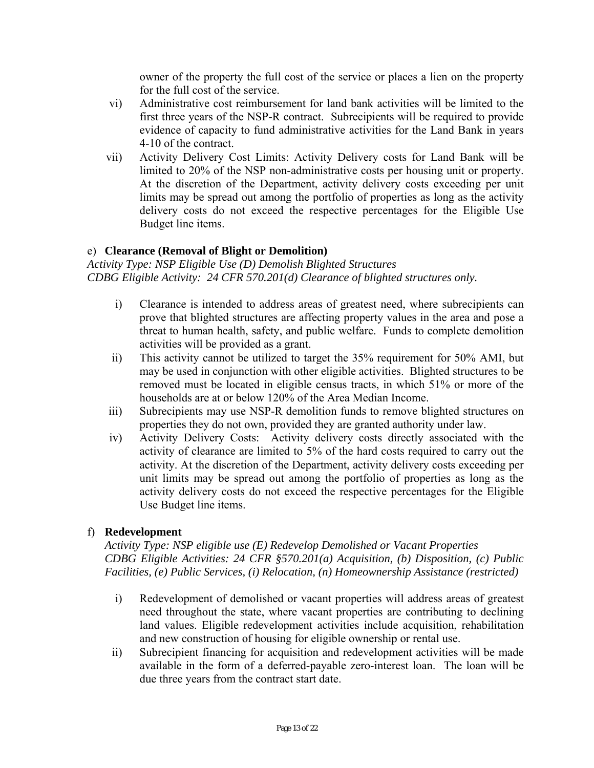owner of the property the full cost of the service or places a lien on the property for the full cost of the service.

- vi) Administrative cost reimbursement for land bank activities will be limited to the first three years of the NSP-R contract. Subrecipients will be required to provide evidence of capacity to fund administrative activities for the Land Bank in years 4-10 of the contract.
- vii) Activity Delivery Cost Limits: Activity Delivery costs for Land Bank will be limited to 20% of the NSP non-administrative costs per housing unit or property. At the discretion of the Department, activity delivery costs exceeding per unit limits may be spread out among the portfolio of properties as long as the activity delivery costs do not exceed the respective percentages for the Eligible Use Budget line items.

### e) **Clearance (Removal of Blight or Demolition)**

*Activity Type: NSP Eligible Use (D) Demolish Blighted Structures CDBG Eligible Activity: 24 CFR 570.201(d) Clearance of blighted structures only.* 

- i) Clearance is intended to address areas of greatest need, where subrecipients can prove that blighted structures are affecting property values in the area and pose a threat to human health, safety, and public welfare. Funds to complete demolition activities will be provided as a grant.
- ii) This activity cannot be utilized to target the 35% requirement for 50% AMI, but may be used in conjunction with other eligible activities. Blighted structures to be removed must be located in eligible census tracts, in which 51% or more of the households are at or below 120% of the Area Median Income.
- iii) Subrecipients may use NSP-R demolition funds to remove blighted structures on properties they do not own, provided they are granted authority under law.
- iv) Activity Delivery Costs: Activity delivery costs directly associated with the activity of clearance are limited to 5% of the hard costs required to carry out the activity. At the discretion of the Department, activity delivery costs exceeding per unit limits may be spread out among the portfolio of properties as long as the activity delivery costs do not exceed the respective percentages for the Eligible Use Budget line items.

# f) **Redevelopment**

 *Facilities, (e) Public Services, (i) Relocation, (n) Homeownership Assistance (restricted) Activity Type: NSP eligible use (E) Redevelop Demolished or Vacant Properties CDBG Eligible Activities: 24 CFR §570.201(a) Acquisition, (b) Disposition, (c) Public* 

- i) Redevelopment of demolished or vacant properties will address areas of greatest need throughout the state, where vacant properties are contributing to declining land values. Eligible redevelopment activities include acquisition, rehabilitation and new construction of housing for eligible ownership or rental use.
- ii) Subrecipient financing for acquisition and redevelopment activities will be made available in the form of a deferred-payable zero-interest loan. The loan will be due three years from the contract start date.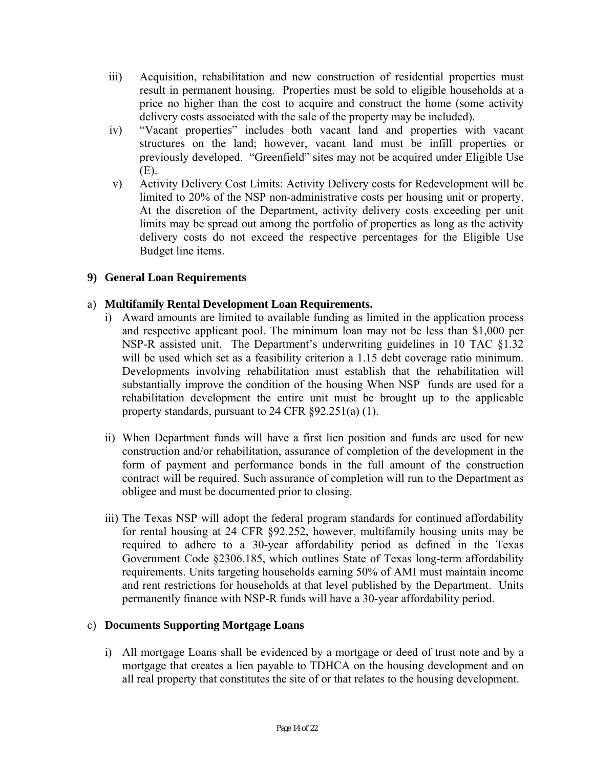- iii) Acquisition, rehabilitation and new construction of residential properties must result in permanent housing. Properties must be sold to eligible households at a price no higher than the cost to acquire and construct the home (some activity delivery costs associated with the sale of the property may be included).
- iv) "Vacant properties" includes both vacant land and properties with vacant structures on the land; however, vacant land must be infill properties or previously developed. "Greenfield" sites may not be acquired under Eligible Use (E).
- v) Activity Delivery Cost Limits: Activity Delivery costs for Redevelopment will be limited to 20% of the NSP non-administrative costs per housing unit or property. At the discretion of the Department, activity delivery costs exceeding per unit limits may be spread out among the portfolio of properties as long as the activity delivery costs do not exceed the respective percentages for the Eligible Use Budget line items.

# **9) General Loan Requirements**

# a) **Multifamily Rental Development Loan Requirements.**

- will be used which set as a feasibility criterion a 1.15 debt coverage ratio minimum. i) Award amounts are limited to available funding as limited in the application process and respective applicant pool. The minimum loan may not be less than \$1,000 per NSP-R assisted unit. The Department's underwriting guidelines in 10 TAC §1.32 Developments involving rehabilitation must establish that the rehabilitation will substantially improve the condition of the housing When NSP funds are used for a rehabilitation development the entire unit must be brought up to the applicable property standards, pursuant to 24 CFR §92.251(a) (1).
- ii) When Department funds will have a first lien position and funds are used for new construction and/or rehabilitation, assurance of completion of the development in the form of payment and performance bonds in the full amount of the construction contract will be required. Such assurance of completion will run to the Department as obligee and must be documented prior to closing.
- iii) The Texas NSP will adopt the federal program standards for continued affordability for rental housing at 24 CFR §92.252, however, multifamily housing units may be required to adhere to a 30-year affordability period as defined in the Texas Government Code §2306.185, which outlines State of Texas long-term affordability requirements. Units targeting households earning 50% of AMI must maintain income and rent restrictions for households at that level published by the Department. Units permanently finance with NSP-R funds will have a 30-year affordability period.

# c) **Documents Supporting Mortgage Loans**

i) All mortgage Loans shall be evidenced by a mortgage or deed of trust note and by a mortgage that creates a lien payable to TDHCA on the housing development and on all real property that constitutes the site of or that relates to the housing development.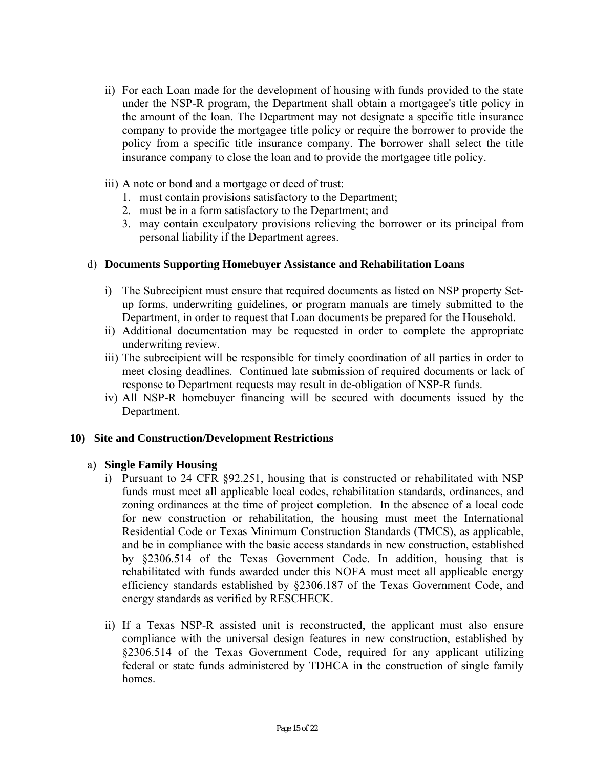- ii) For each Loan made for the development of housing with funds provided to the state under the NSP-R program, the Department shall obtain a mortgagee's title policy in the amount of the loan. The Department may not designate a specific title insurance company to provide the mortgagee title policy or require the borrower to provide the policy from a specific title insurance company. The borrower shall select the title insurance company to close the loan and to provide the mortgagee title policy.
- iii) A note or bond and a mortgage or deed of trust:
	- 1. must contain provisions satisfactory to the Department;
	- 2. must be in a form satisfactory to the Department; and
	- 3. may contain exculpatory provisions relieving the borrower or its principal from personal liability if the Department agrees.

#### d) **Documents Supporting Homebuyer Assistance and Rehabilitation Loans**

- i) The Subrecipient must ensure that required documents as listed on NSP property Setup forms, underwriting guidelines, or program manuals are timely submitted to the Department, in order to request that Loan documents be prepared for the Household.
- ii) Additional documentation may be requested in order to complete the appropriate underwriting review.
- iii) The subrecipient will be responsible for timely coordination of all parties in order to meet closing deadlines. Continued late submission of required documents or lack of response to Department requests may result in de-obligation of NSP-R funds.
- iv) All NSP-R homebuyer financing will be secured with documents issued by the Department.

#### **10) Site and Construction/Development Restrictions**

#### a) **Single Family Housing**

- i) Pursuant to 24 CFR  $\S 92.251$ , housing that is constructed or rehabilitated with NSP funds must meet all applicable local codes, rehabilitation standards, ordinances, and zoning ordinances at the time of project completion. In the absence of a local code for new construction or rehabilitation, the housing must meet the International Residential Code or Texas Minimum Construction Standards (TMCS), as applicable, and be in compliance with the basic access standards in new construction, established by §2306.514 of the Texas Government Code. In addition, housing that is rehabilitated with funds awarded under this NOFA must meet all applicable energy efficiency standards established by §2306.187 of the Texas Government Code, and energy standards as verified by RESCHECK.
- ii) If a Texas NSP-R assisted unit is reconstructed, the applicant must also ensure compliance with the universal design features in new construction, established by §2306.514 of the Texas Government Code, required for any applicant utilizing federal or state funds administered by TDHCA in the construction of single family homes.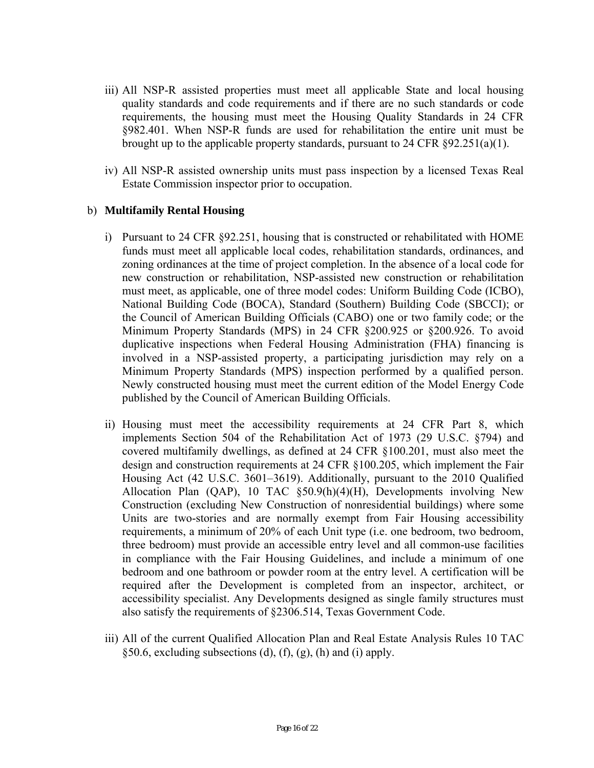- iii) All NSP-R assisted properties must meet all applicable State and local housing quality standards and code requirements and if there are no such standards or code requirements, the housing must meet the Housing Quality Standards in 24 CFR §982.401. When NSP-R funds are used for rehabilitation the entire unit must be brought up to the applicable property standards, pursuant to 24 CFR §92.251(a)(1).
- iv) All NSP-R assisted ownership units must pass inspection by a licensed Texas Real Estate Commission inspector prior to occupation.

### b) **Multifamily Rental Housing**

- i) Pursuant to 24 CFR  $\S 92.251$ , housing that is constructed or rehabilitated with HOME funds must meet all applicable local codes, rehabilitation standards, ordinances, and zoning ordinances at the time of project completion. In the absence of a local code for new construction or rehabilitation, NSP-assisted new construction or rehabilitation must meet, as applicable, one of three model codes: Uniform Building Code (ICBO), National Building Code (BOCA), Standard (Southern) Building Code (SBCCI); or the Council of American Building Officials (CABO) one or two family code; or the Minimum Property Standards (MPS) in 24 CFR §200.925 or §200.926. To avoid duplicative inspections when Federal Housing Administration (FHA) financing is involved in a NSP-assisted property, a participating jurisdiction may rely on a Minimum Property Standards (MPS) inspection performed by a qualified person. Newly constructed housing must meet the current edition of the Model Energy Code published by the Council of American Building Officials.
- ii) Housing must meet the accessibility requirements at 24 CFR Part 8, which implements Section 504 of the Rehabilitation Act of 1973 (29 U.S.C. §794) and covered multifamily dwellings, as defined at 24 CFR §100.201, must also meet the design and construction requirements at 24 CFR §100.205, which implement the Fair Housing Act (42 U.S.C. 3601–3619). Additionally, pursuant to the 2010 Qualified Allocation Plan (QAP), 10 TAC §50.9(h)(4)(H), Developments involving New Construction (excluding New Construction of nonresidential buildings) where some Units are two-stories and are normally exempt from Fair Housing accessibility requirements, a minimum of 20% of each Unit type (i.e. one bedroom, two bedroom, three bedroom) must provide an accessible entry level and all common-use facilities in compliance with the Fair Housing Guidelines, and include a minimum of one bedroom and one bathroom or powder room at the entry level. A certification will be required after the Development is completed from an inspector, architect, or accessibility specialist. Any Developments designed as single family structures must also satisfy the requirements of §2306.514, Texas Government Code.
- iii) All of the current Qualified Allocation Plan and Real Estate Analysis Rules 10 TAC  $§50.6$ , excluding subsections (d), (f), (g), (h) and (i) apply.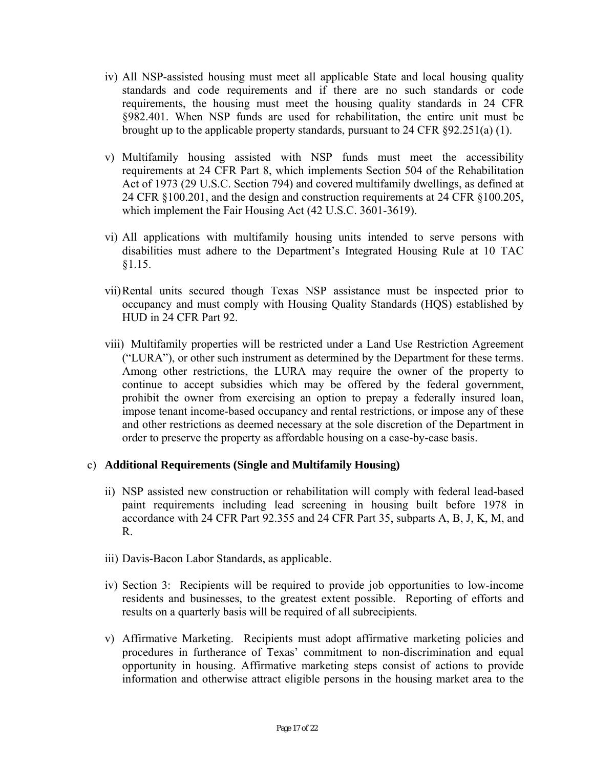- iv) All NSP-assisted housing must meet all applicable State and local housing quality standards and code requirements and if there are no such standards or code requirements, the housing must meet the housing quality standards in 24 CFR §982.401. When NSP funds are used for rehabilitation, the entire unit must be brought up to the applicable property standards, pursuant to 24 CFR §92.251(a) (1).
- v) Multifamily housing assisted with NSP funds must meet the accessibility requirements at 24 CFR Part 8, which implements Section 504 of the Rehabilitation Act of 1973 (29 U.S.C. Section 794) and covered multifamily dwellings, as defined at 24 CFR §100.201, and the design and construction requirements at 24 CFR §100.205, which implement the Fair Housing Act (42 U.S.C. 3601-3619).
- vi) All applications with multifamily housing units intended to serve persons with disabilities must adhere to the Department's Integrated Housing Rule at 10 TAC §1.15.
- vii)Rental units secured though Texas NSP assistance must be inspected prior to occupancy and must comply with Housing Quality Standards (HQS) established by HUD in 24 CFR Part 92.
- viii) Multifamily properties will be restricted under a Land Use Restriction Agreement ("LURA"), or other such instrument as determined by the Department for these terms. Among other restrictions, the LURA may require the owner of the property to continue to accept subsidies which may be offered by the federal government, prohibit the owner from exercising an option to prepay a federally insured loan, impose tenant income-based occupancy and rental restrictions, or impose any of these and other restrictions as deemed necessary at the sole discretion of the Department in order to preserve the property as affordable housing on a case-by-case basis.

# c) **Additional Requirements (Single and Multifamily Housing)**

- ii) NSP assisted new construction or rehabilitation will comply with federal lead-based paint requirements including lead screening in housing built before 1978 in accordance with 24 CFR Part 92.355 and 24 CFR Part 35, subparts A, B, J, K, M, and R.
- iii) Davis-Bacon Labor Standards, as applicable.
- iv) Section 3: Recipients will be required to provide job opportunities to low-income residents and businesses, to the greatest extent possible. Reporting of efforts and results on a quarterly basis will be required of all subrecipients.
- v) Affirmative Marketing. Recipients must adopt affirmative marketing policies and procedures in furtherance of Texas' commitment to non-discrimination and equal opportunity in housing. Affirmative marketing steps consist of actions to provide information and otherwise attract eligible persons in the housing market area to the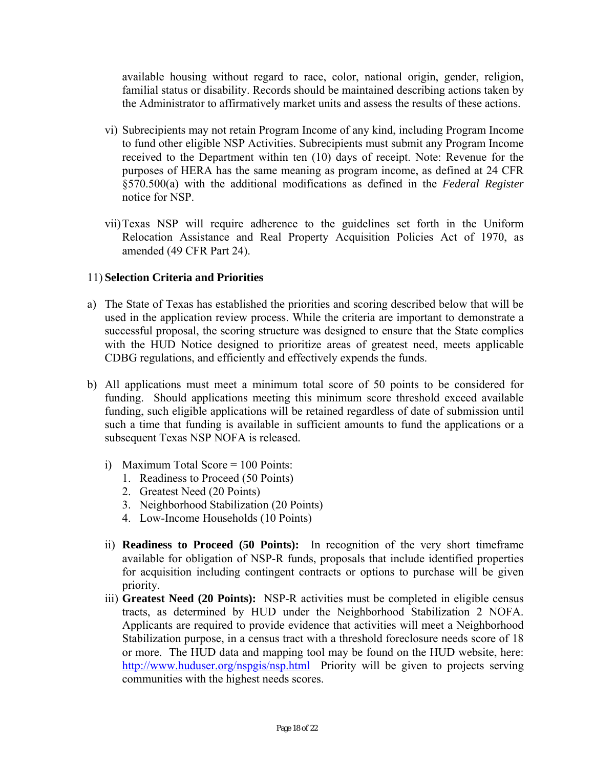available housing without regard to race, color, national origin, gender, religion, familial status or disability. Records should be maintained describing actions taken by the Administrator to affirmatively market units and assess the results of these actions.

- vi) Subrecipients may not retain Program Income of any kind, including Program Income to fund other eligible NSP Activities. Subrecipients must submit any Program Income received to the Department within ten (10) days of receipt. Note: Revenue for the purposes of HERA has the same meaning as program income, as defined at 24 CFR §570.500(a) with the additional modifications as defined in the *Federal Register*  notice for NSP.
- vii)Texas NSP will require adherence to the guidelines set forth in the Uniform Relocation Assistance and Real Property Acquisition Policies Act of 1970, as amended (49 CFR Part 24).

# 11) **Selection Criteria and Priorities**

- a) The State of Texas has established the priorities and scoring described below that will be used in the application review process. While the criteria are important to demonstrate a successful proposal, the scoring structure was designed to ensure that the State complies with the HUD Notice designed to prioritize areas of greatest need, meets applicable CDBG regulations, and efficiently and effectively expends the funds.
- b) All applications must meet a minimum total score of 50 points to be considered for funding. Should applications meeting this minimum score threshold exceed available funding, such eligible applications will be retained regardless of date of submission until such a time that funding is available in sufficient amounts to fund the applications or a subsequent Texas NSP NOFA is released.
	- i) Maximum Total Score  $= 100$  Points:
		- 1. Readiness to Proceed (50 Points)
		- 2. Greatest Need (20 Points)
		- 3. Neighborhood Stabilization (20 Points)
		- 4. Low-Income Households (10 Points)
	- ii) **Readiness to Proceed (50 Points):** In recognition of the very short timeframe available for obligation of NSP-R funds, proposals that include identified properties for acquisition including contingent contracts or options to purchase will be given priority.
	- tracts, as determined by HUD under the Neighborhood Stabilization 2 NOFA. iii) **Greatest Need (20 Points):** NSP-R activities must be completed in eligible census Applicants are required to provide evidence that activities will meet a Neighborhood Stabilization purpose, in a census tract with a threshold foreclosure needs score of 18 or more. The HUD data and mapping tool may be found on the HUD website, here: http://www.huduser.org/nspgis/nsp.html Priority will be given to projects serving communities with the highest needs scores.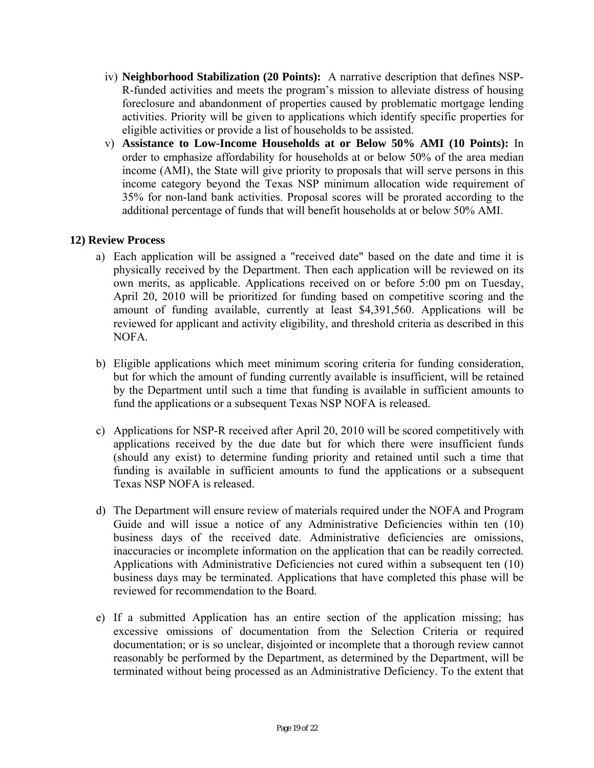- iv) **Neighborhood Stabilization (20 Points):** A narrative description that defines NSP-R-funded activities and meets the program's mission to alleviate distress of housing foreclosure and abandonment of properties caused by problematic mortgage lending activities. Priority will be given to applications which identify specific properties for eligible activities or provide a list of households to be assisted.
- v) **Assistance to Low-Income Households at or Below 50% AMI (10 Points):** In order to emphasize affordability for households at or below 50% of the area median income (AMI), the State will give priority to proposals that will serve persons in this income category beyond the Texas NSP minimum allocation wide requirement of 35% for non-land bank activities. Proposal scores will be prorated according to the additional percentage of funds that will benefit households at or below 50% AMI.

# **12) Review Process**

- a) Each application will be assigned a "received date" based on the date and time it is physically received by the Department. Then each application will be reviewed on its own merits, as applicable. Applications received on or before 5:00 pm on Tuesday, April 20, 2010 will be prioritized for funding based on competitive scoring and the amount of funding available, currently at least \$4,391,560. Applications will be reviewed for applicant and activity eligibility, and threshold criteria as described in this NOFA.
- b) Eligible applications which meet minimum scoring criteria for funding consideration, but for which the amount of funding currently available is insufficient, will be retained by the Department until such a time that funding is available in sufficient amounts to fund the applications or a subsequent Texas NSP NOFA is released.
- c) Applications for NSP-R received after April 20, 2010 will be scored competitively with applications received by the due date but for which there were insufficient funds (should any exist) to determine funding priority and retained until such a time that funding is available in sufficient amounts to fund the applications or a subsequent Texas NSP NOFA is released.
- d) The Department will ensure review of materials required under the NOFA and Program Guide and will issue a notice of any Administrative Deficiencies within ten (10) business days of the received date. Administrative deficiencies are omissions, inaccuracies or incomplete information on the application that can be readily corrected. Applications with Administrative Deficiencies not cured within a subsequent ten (10) business days may be terminated. Applications that have completed this phase will be reviewed for recommendation to the Board.
- e) If a submitted Application has an entire section of the application missing; has excessive omissions of documentation from the Selection Criteria or required documentation; or is so unclear, disjointed or incomplete that a thorough review cannot reasonably be performed by the Department, as determined by the Department, will be terminated without being processed as an Administrative Deficiency. To the extent that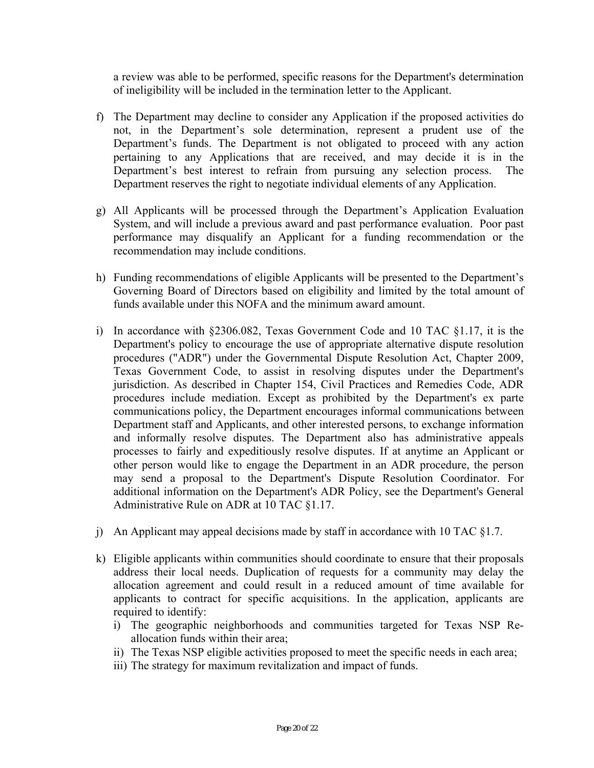a review was able to be performed, specific reasons for the Department's determination of ineligibility will be included in the termination letter to the Applicant.

- f) The Department may decline to consider any Application if the proposed activities do not, in the Department's sole determination, represent a prudent use of the Department's funds. The Department is not obligated to proceed with any action pertaining to any Applications that are received, and may decide it is in the Department's best interest to refrain from pursuing any selection process. The Department reserves the right to negotiate individual elements of any Application.
- g) All Applicants will be processed through the Department's Application Evaluation System, and will include a previous award and past performance evaluation. Poor past performance may disqualify an Applicant for a funding recommendation or the recommendation may include conditions.
- h) Funding recommendations of eligible Applicants will be presented to the Department's Governing Board of Directors based on eligibility and limited by the total amount of funds available under this NOFA and the minimum award amount.
- i) In accordance with  $\S 2306.082$ , Texas Government Code and 10 TAC  $\S 1.17$ , it is the Department's policy to encourage the use of appropriate alternative dispute resolution procedures ("ADR") under the Governmental Dispute Resolution Act, Chapter 2009, Texas Government Code, to assist in resolving disputes under the Department's jurisdiction. As described in Chapter 154, Civil Practices and Remedies Code, ADR procedures include mediation. Except as prohibited by the Department's ex parte communications policy, the Department encourages informal communications between Department staff and Applicants, and other interested persons, to exchange information and informally resolve disputes. The Department also has administrative appeals processes to fairly and expeditiously resolve disputes. If at anytime an Applicant or other person would like to engage the Department in an ADR procedure, the person may send a proposal to the Department's Dispute Resolution Coordinator. For additional information on the Department's ADR Policy, see the Department's General Administrative Rule on ADR at 10 TAC §1.17.
- j) An Applicant may appeal decisions made by staff in accordance with 10 TAC  $\S1.7$ .
- k) Eligible applicants within communities should coordinate to ensure that their proposals address their local needs. Duplication of requests for a community may delay the allocation agreement and could result in a reduced amount of time available for applicants to contract for specific acquisitions. In the application, applicants are required to identify:
	- i) The geographic neighborhoods and communities targeted for Texas NSP Reallocation funds within their area;
	- ii) The Texas NSP eligible activities proposed to meet the specific needs in each area;
	- iii) The strategy for maximum revitalization and impact of funds.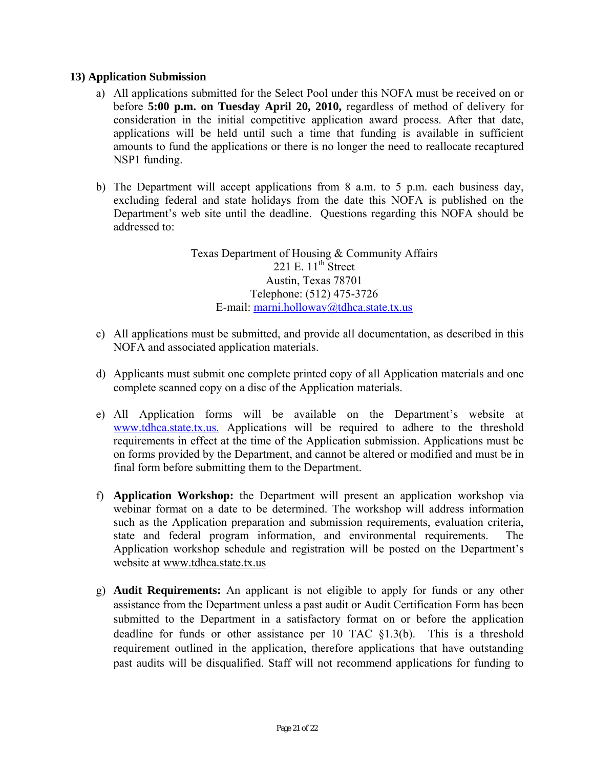#### **13) Application Submission**

- a) All applications submitted for the Select Pool under this NOFA must be received on or before **5:00 p.m. on Tuesday April 20, 2010,** regardless of method of delivery for consideration in the initial competitive application award process. After that date, applications will be held until such a time that funding is available in sufficient amounts to fund the applications or there is no longer the need to reallocate recaptured NSP1 funding.
- b) The Department will accept applications from 8 a.m. to 5 p.m. each business day, excluding federal and state holidays from the date this NOFA is published on the Department's web site until the deadline. Questions regarding this NOFA should be addressed to:

E-mail: marni.holloway@tdhca.state.tx.us Texas Department of Housing & Community Affairs 221 E.  $11^{th}$  Street Austin, Texas 78701 Telephone: (512) 475-3726

- c) All applications must be submitted, and provide all documentation, as described in this NOFA and associated application materials.
- d) Applicants must submit one complete printed copy of all Application materials and one complete scanned copy on a disc of the Application materials.
- e) All Application forms will be available on the Department's website at www.tdhca.state.tx.us. Applications will be required to adhere to the threshold requirements in effect at the time of the Application submission. Applications must be on forms provided by the Department, and cannot be altered or modified and must be in final form before submitting them to the Department.
- f) **Application Workshop:** the Department will present an application workshop via webinar format on a date to be determined. The workshop will address information such as the Application preparation and submission requirements, evaluation criteria, state and federal program information, and environmental requirements. The Application workshop schedule and registration will be posted on the Department's website at www.tdhca.state.tx.us
- g) **Audit Requirements:** An applicant is not eligible to apply for funds or any other assistance from the Department unless a past audit or Audit Certification Form has been submitted to the Department in a satisfactory format on or before the application deadline for funds or other assistance per 10 TAC §1.3(b). This is a threshold requirement outlined in the application, therefore applications that have outstanding past audits will be disqualified. Staff will not recommend applications for funding to